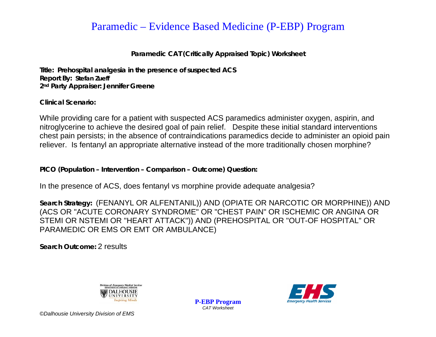## Paramedic – Evidence Based Medicine (P-EBP) Program

Paramedic CAT (Critically Appraised Topic) Worksheet

Title: Prehospital analgesia in the presence of suspected ACS **Report By: Stefan Zueff** 2<sup>nd</sup> Party Appraiser: Jennifer Greene

Clinical Scenario:

While providing care for a patient with suspected ACS paramedics administer oxygen, aspirin, and nitroglycerine to achieve the desired goal of pain relief. Despite these initial standard interventions chest pain persists; in the absence of contraindications paramedics decide to administer an opioid pain reliever. Is fentanyl an appropriate alternative instead of the more traditionally chosen morphine?

PICO (Population - Intervention - Comparison - Outcome) Question:

In the presence of ACS, does fentanyl vs morphine provide adequate analgesia?

Search Strategy: (FENANYL OR ALFENTANIL)) AND (OPIATE OR NARCOTIC OR MORPHINE)) AND (ACS OR "ACUTE CORONARY SYNDROME" OR "CHEST PAIN" OR ISCHEMIC OR ANGINA OR STEMI OR NSTEMI OR "HEART ATTACK")) AND (PREHOSPITAL OR "OUT-OF HOSPITAL" OR PARAMEDIC OR EMS OR EMT OR AMBULANCE)

Search Outcome: 2 results



**P-EBP Program CAT Worksheet** 



©Dalhousie University Division of EMS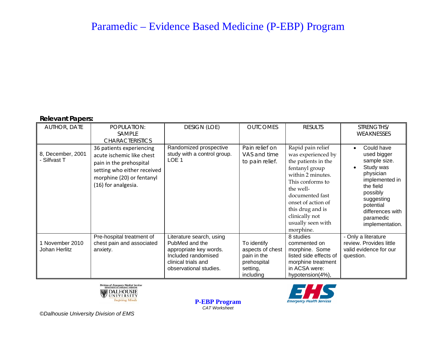## Paramedic - Evidence Based Medicine (P-EBP) Program

#### **Relevant Papers:**

| <b>AUTHOR, DATE</b>             | POPULATION:<br><b>SAMPLE</b><br><b>CHARACTERISTICS</b>                                                                                                              | <b>DESIGN (LOE)</b>                                                                                                                          | <b>OUTCOMES</b>                                                                        | <b>RESULTS</b>                                                                                                                                                                                                                                          | STRENGTHS/<br><b>WEAKNESSES</b>                                                                                                                                                                                         |
|---------------------------------|---------------------------------------------------------------------------------------------------------------------------------------------------------------------|----------------------------------------------------------------------------------------------------------------------------------------------|----------------------------------------------------------------------------------------|---------------------------------------------------------------------------------------------------------------------------------------------------------------------------------------------------------------------------------------------------------|-------------------------------------------------------------------------------------------------------------------------------------------------------------------------------------------------------------------------|
| 8, December, 2001<br>Silfvast T | 36 patients experiencing<br>acute ischemic like chest<br>pain in the prehospital<br>setting who either received<br>morphine (20) or fentanyl<br>(16) for analgesia. | Randomized prospective<br>study with a control group.<br>LOE <sub>1</sub>                                                                    | Pain relief on<br>VAS and time<br>to pain relief.                                      | Rapid pain relief<br>was experienced by<br>the patients in the<br>fentanyl group<br>within 2 minutes.<br>This conforms to<br>the well-<br>documented fast<br>onset of action of<br>this drug and is<br>clinically not<br>usually seen with<br>morphine. | Could have<br>$\bullet$<br>used bigger<br>sample size.<br>Study was<br>$\bullet$<br>physician<br>implemented in<br>the field<br>possibly<br>suggesting<br>potential<br>differences with<br>paramedic<br>implementation. |
| November 2010<br>Johan Herlitz  | Pre-hospital treatment of<br>chest pain and associated<br>anxiety.                                                                                                  | Literature search, using<br>PubMed and the<br>appropriate key words.<br>Included randomised<br>clinical trials and<br>observational studies. | To identify<br>aspects of chest<br>pain in the<br>prehospital<br>setting,<br>including | 8 studies<br>commented on<br>morphine. Some<br>listed side effects of<br>morphine treatment<br>in ACSA were:<br>hypotension(4%),                                                                                                                        | - Only a literature<br>review. Provides little<br>valid evidence for our<br>question.                                                                                                                                   |





©Dalhousie University Division of EMS

**P-EBP Program**<br>CAT Worksheet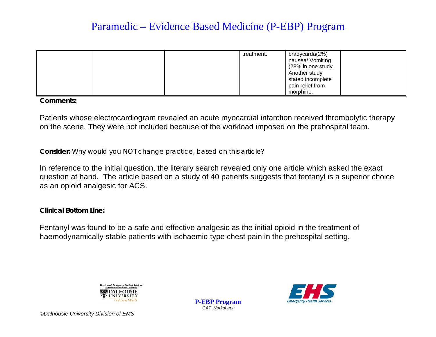# Paramedic – Evidence Based Medicine (P-EBP) Program

| treatment. | bradycarda(2%)<br>nausea/ Vomiting<br>(28% in one study.<br>Another study<br>stated incomplete |
|------------|------------------------------------------------------------------------------------------------|
|            | pain relief from                                                                               |
|            | morphine.                                                                                      |

**Comments:** 

Patients whose electrocardiogram revealed an acute myocardial infarction received thrombolytic therapy on the scene. They were not included because of the workload imposed on the prehospital team.

### Consider: Why would you NOT change practice, based on this article?

In reference to the initial question, the literary search revealed only one article which asked the exact question at hand. The article based on a study of 40 patients suggests that fentanyl is a superior choice as an opioid analgesic for ACS.

**Clinical Bottom Line:** 

Fentanyl was found to be a safe and effective analgesic as the initial opioid in the treatment of haemodynamically stable patients with ischaemic-type chest pain in the prehospital setting.



**P-EBP Program CAT Worksheet**